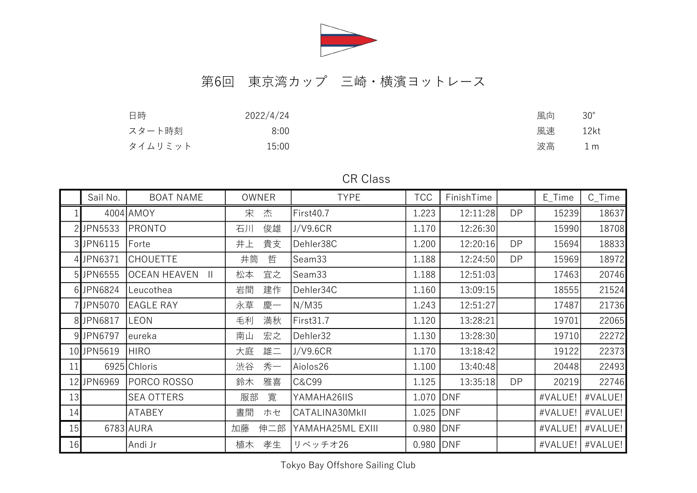

## 第6回 東京湾カップ 三崎・横濱ヨットレース

| 日時      | 2022/4/24 | 風向 | $30^\circ$     |
|---------|-----------|----|----------------|
| スタート時刻  | 8:00      | 風速 | 12kt           |
| タイムリミット | 15:00     | 波高 | 1 <sub>m</sub> |

## CR Class

|    | Sail No.   | <b>BOAT NAME</b>             | <b>OWNER</b> | <b>TYPE</b>      | <b>TCC</b>  | FinishTime |           | E_Time  | $C_$ Time |
|----|------------|------------------------------|--------------|------------------|-------------|------------|-----------|---------|-----------|
|    |            | 4004 AMOY                    | 宋<br>杰       | First40.7        | 1.223       | 12:11:28   | <b>DP</b> | 15239   | 18637     |
|    | 2 JPN5533  | PRONTO                       | 俊雄<br>石川     | J/V9.6CR         | 1.170       | 12:26:30   |           | 15990   | 18708     |
|    | 3 JPN6115  | Forte                        | 貴支<br>井上     | Dehler38C        | 1.200       | 12:20:16   | <b>DP</b> | 15694   | 18833     |
|    | 4 JPN6371  | <b>CHOUETTE</b>              | 井筒<br>哲      | Seam33           | 1.188       | 12:24:50   | <b>DP</b> | 15969   | 18972     |
|    | 5 JPN6555  | OCEAN HEAVEN<br>$\mathbb{H}$ | 宜之<br>松本     | Seam33           | 1.188       | 12:51:03   |           | 17463   | 20746     |
|    | 6 JPN6824  | Leucothea                    | 岩間<br>建作     | Dehler34C        | 1.160       | 13:09:15   |           | 18555   | 21524     |
|    | 7JPN5070   | EAGLE RAY                    | 永草<br>慶一     | N/M35            | 1.243       | 12:51:27   |           | 17487   | 21736     |
|    | 8JPN6817   | LEON                         | 満秋<br>毛利     | First31.7        | 1.120       | 13:28:21   |           | 19701   | 22065     |
|    | 9JPN6797   | leureka                      | 宏之<br>南山     | Dehler32         | 1.130       | 13:28:30   |           | 19710   | 22272     |
|    | 10 JPN5619 | <b>HIRO</b>                  | 雄二<br>大庭     | J/V9.6CR         | 1.170       | 13:18:42   |           | 19122   | 22373     |
| 11 |            | 6925 Chloris                 | 秀一<br>渋谷     | Aiolos26         | 1.100       | 13:40:48   |           | 20448   | 22493     |
|    | 12 JPN6969 | PORCO ROSSO                  | 雅喜<br>鈴木     | <b>C&amp;C99</b> | 1.125       | 13:35:18   | <b>DP</b> | 20219   | 22746     |
| 13 |            | <b>SEA OTTERS</b>            | 寛<br>服部      | YAMAHA26IIS      | 1.070 DNF   |            |           | #VALUE! | #VALUE!   |
| 14 |            | ATABEY                       | 晝間<br>ホセ     | CATALINA30MkII   | $1.025$ DNF |            |           | #VALUE! | #VALUE!   |
| 15 |            | 6783 AURA                    | 加藤<br>伸二郎    | YAMAHA25ML EXIII | $0.980$ DNF |            |           | #VALUE! | #VALUE!   |
| 16 |            | Andi Jr                      | 孝生<br>植木     | リベッチオ26          | 0.980 DNF   |            |           | #VALUE! | #VALUE!   |

Tokyo Bay Offshore Sailing Club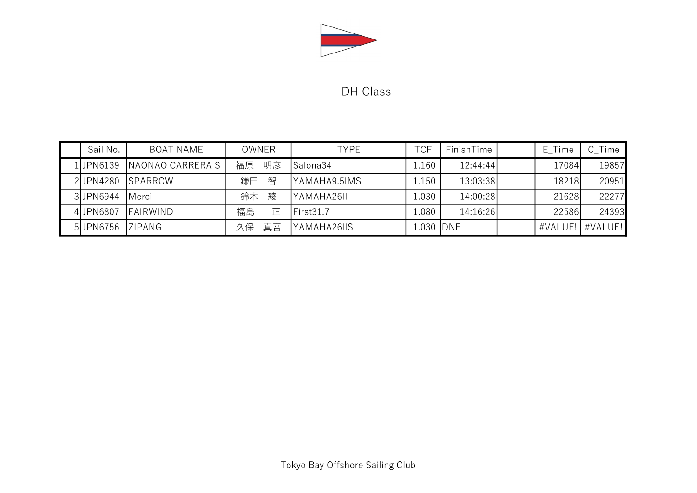

## DH Class

| Sail No.   | <b>BOAT NAME</b> | <b>OWNER</b> | <b>TYPE</b>  | TCF        | FinishTime | E Time  | C Time  |
|------------|------------------|--------------|--------------|------------|------------|---------|---------|
| 1 JPN 6139 | NAONAO CARRERA S | 明彦<br>福原     | Salona34     | 1.160      | 12:44:44   | 17084   | 19857   |
| 2JPN4280   | <b>ISPARROW</b>  | 鎌田<br>智      | YAMAHA9.5IMS | 1.150      | 13:03:38   | 18218   | 20951   |
| 3JPN6944   | <b>Merci</b>     | 綾<br>鈴木      | YAMAHA26II   | 1.030      | 14:00:28   | 21628   | 22277   |
| 4JPN6807   | <b>FAIRWIND</b>  | 福島<br>正      | First31.7    | 1.080      | 14:16:26   | 22586   | 24393   |
| 5JPN6756   | <b>IZIPANG</b>   | 真吾<br>久保     | YAMAHA26IIS  | 1.030 JDNF |            | #VALUE! | #VALUE! |